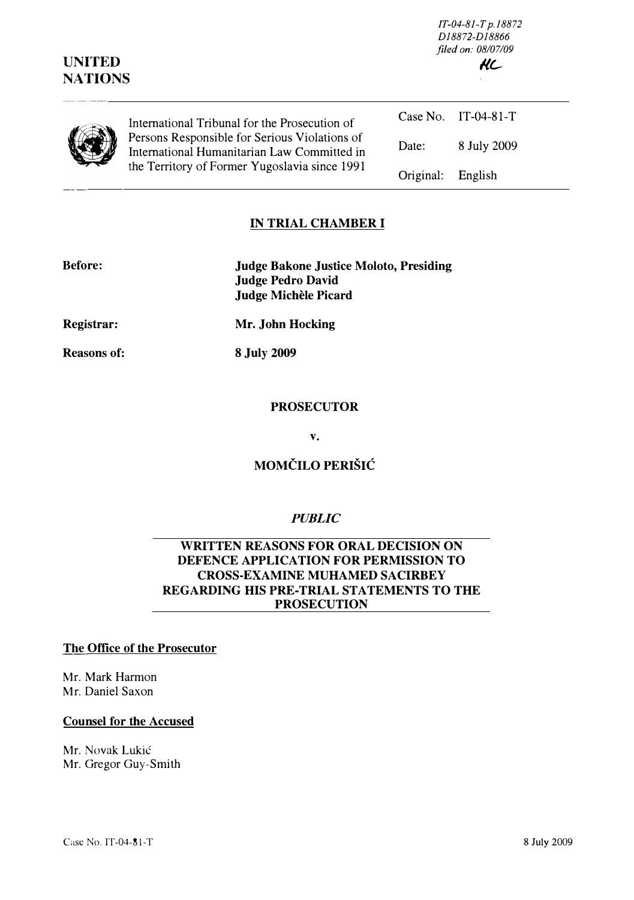| <b>UNITED</b><br><b>NATIONS</b> |                                                                                                                                               | D18872-D18866<br>filed on: 08/07/09<br>KC |                     |  |
|---------------------------------|-----------------------------------------------------------------------------------------------------------------------------------------------|-------------------------------------------|---------------------|--|
|                                 | International Tribunal for the Prosecution of                                                                                                 |                                           | Case No. IT-04-81-T |  |
|                                 | Persons Responsible for Serious Violations of<br>International Humanitarian Law Committed in<br>the Territory of Former Yugoslavia since 1991 | Date:                                     | 8 July 2009         |  |
|                                 |                                                                                                                                               | Original:                                 | English             |  |

JT-04-8J-T p.18872

### IN TRIAL CHAMBER I

| <b>Before:</b> | <b>Judge Bakone Justice Moloto, Presiding</b><br><b>Judge Pedro David</b><br>Judge Michèle Picard |
|----------------|---------------------------------------------------------------------------------------------------|
| Registrar:     | Mr. John Hocking                                                                                  |

Reasons of:

8 July 2009

#### **PROSECUTOR**

v.

# MOMČILO PERIŠIĆ

#### **PUBLIC**

### WRITTEN REASONS FOR ORAL DECISION ON DEFENCE APPLICATION FOR PERMISSION TO CROSS-EXAMINE MUHAMED SACIRBEY REGARDING HIS PRE-TRIAL STATEMENTS TO THE PROSECUTION

### The Office of the Prosecutor

Mr. Mark Harmon Mr. Daniel Saxon

#### Counsel for the Accused

Mr. Novak Lukic Mr. Gregor Guy-Smith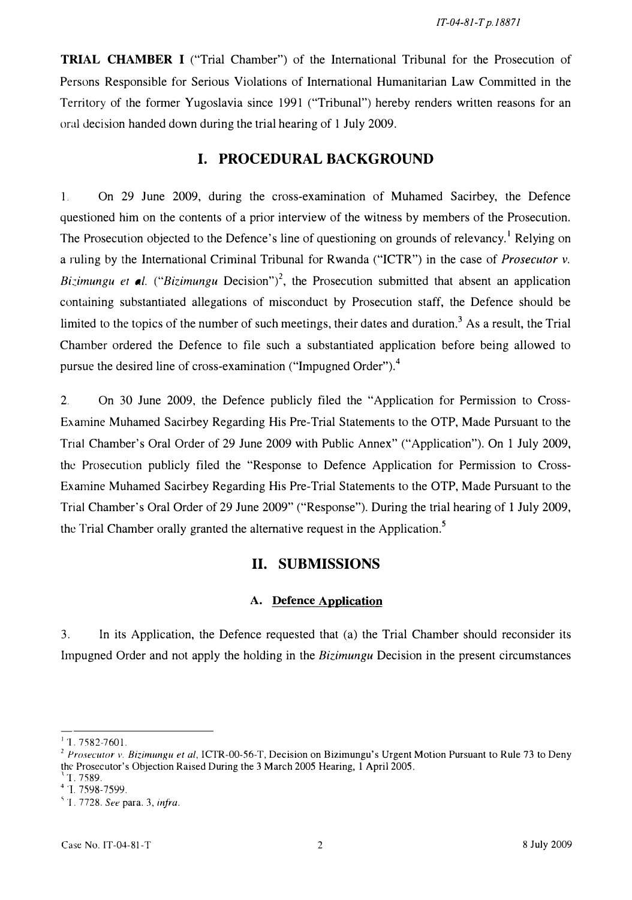TRIAL CHAMBER I ("Trial Chamber") of the International Tribunal for the Prosecution of Persons Responsible for Serious Violations of International Humanitarian Law Committed in the Territory of the former Yugoslavia since 1991 ("Tribunal") hereby renders written reasons for an oral decision handed down during the trial hearing of 1 July 2009.

### I. PROCEDURAL BACKGROUND

1. On 29 June 2009, during the cross-examination of Muhamed Sacirbey, the Defence questioned him on the contents of a prior interview of the witness by members of the Prosecution. The Prosecution objected to the Defence's line of questioning on grounds of relevancy.<sup>1</sup> Relying on a ruling by the International Criminal Tribunal for Rwanda ("ICTR") in the case of Prosecutor v. Bizimungu et al. ("Bizimungu Decision")<sup>2</sup>, the Prosecution submitted that absent an application containing substantiated allegations of misconduct by Prosecution staff, the Defence should be limited to the topics of the number of such meetings, their dates and duration.<sup>3</sup> As a result, the Trial Chamber ordered the Defence to file such a substantiated application before being allowed to pursue the desired line of cross-examination ("Impugned Order").<sup>4</sup>

2. On 30 June 2009, the Defence publicly filed the "Application for Permission to Cross-Examine Muhamed Sacirbey Regarding His Pre-Trial Statements to the OTP, Made Pursuant to the Trial Chamber's Oral Order of 29 June 2009 with Public Annex" ("Application"). On 1 July 2009, the Prosecution publicly filed the "Response to Defence Application for Permission to Cross-Examine Muhamed Sacirbey Regarding His Pre-Trial Statements to the OTP, Made Pursuant to the Trial Chamber's Oral Order of 29 June 2009" ("Response"). During the trial hearing of 1 July 2009, the Trial Chamber orally granted the alternative request in the Application.<sup>5</sup>

## II. SUBMISSIONS

#### A. Defence Application

3. In its Application, the Defence requested that (a) the Trial Chamber should reconsider its Impugned Order and not apply the holding in the Bizimungu Decision in the present circumstances

 $1.7582-7601$ .

<sup>&</sup>lt;sup>2</sup> Prosecutor v. Bizimungu et al, ICTR-00-56-T, Decision on Bizimungu's Urgent Motion Pursuant to Rule 73 to Deny the Prosecutor's Objection Raised During the 3 March 2005 Hearing, 1 April 2005.

 $1.7589.$ 

<sup>4.1. 7598-7599.</sup> 

 $^5$  T. 7728. See para. 3, infra.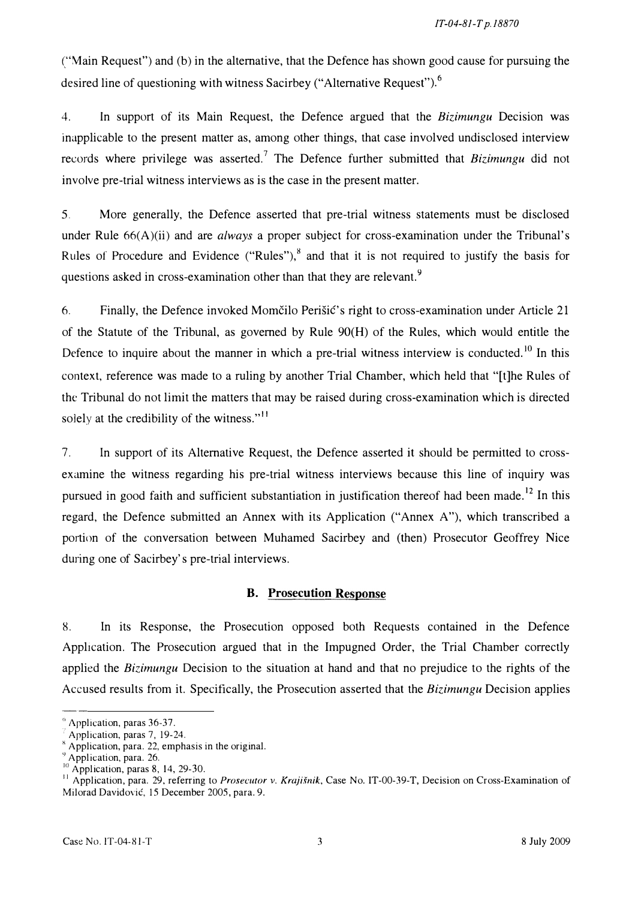("\1ain Request") and (b) in the alternative, that the Defence has shown good cause for pursuing the desired line of questioning with witness Sacirbey ("Alternative Request").<sup>6</sup>

4. In support of its Main Request, the Defence argued that the Bizimungu Decision was inapplicable to the present matter as, among other things, that case involved undisclosed interview records where privilege was asserted.<sup>7</sup> The Defence further submitted that Bizimungu did not involve pre-trial witness interviews as is the case in the present matter.

5. More generally, the Defence asserted that pre-trial witness statements must be disclosed under Rule  $66(A)(ii)$  and are *always* a proper subject for cross-examination under the Tribunal's Rules of Procedure and Evidence ("Rules"), $\frac{8}{3}$  and that it is not required to justify the basis for questions asked in cross-examination other than that they are relevant.<sup>9</sup>

6. Finally, the Defence invoked Momcilo Perisic's right to cross-examination under Article 21 of the Statute of the Tribunal, as governed by Rule 90(H) of the Rules, which would entitle the Defence to inquire about the manner in which a pre-trial witness interview is conducted.<sup>10</sup> In this context, reference was made to a ruling by another Trial Chamber, which held that "[t]he Rules of the Tribunal do not limit the matters that may be raised during cross-examination which is directed solely at the credibility of the witness." $\frac{11}{11}$ 

7. In support of its Alternative Request, the Defence asserted it should be permitted to crossexamine the witness regarding his pre-trial witness interviews because this line of inquiry was pursued in good faith and sufficient substantiation in justification thereof had been made.<sup>12</sup> In this regard, the Defence submitted an Annex with its Application ("Annex A"), which transcribed a portion of the conversation between Muhamed Sacirbey and (then) Prosecutor Geoffrey Nice during one of Sacirbey's pre-trial interviews.

### B. Prosecution Response

8. In its Response, the Prosecution opposed both Requests contained in the Defence Application. The Prosecution argued that in the Impugned Order, the Trial Chamber correctly applied the *Bizimungu* Decision to the situation at hand and that no prejudice to the rights of the Accused results from it. Specifically, the Prosecution asserted that the Bizimungu Decision applies

 $<sup>6</sup>$  Application, paras 36-37.</sup>

<sup>.</sup> Application, paras 7, 19-24.

 $x^*$  Application, para. 22, emphasis in the original.

 $9$  Application, para. 26.

 $10$  Application, paras 8, 14, 29-30.

<sup>&</sup>lt;sup>11</sup> Application, para. 29, referring to Prosecutor v. Krajišnik, Case No. IT-00-39-T, Decision on Cross-Examination of Milorad Davidovic, 15 December 2005, para. 9.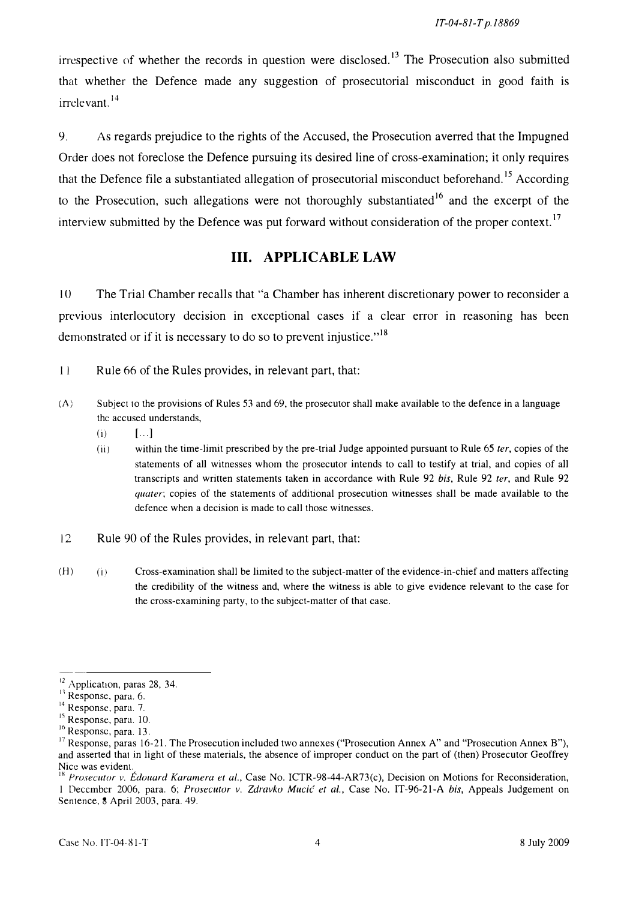irrespective of whether the records in question were disclosed.<sup>13</sup> The Prosecution also submitted that whether the Defence made any suggestion of prosecutorial misconduct in good faith is irrelevant. <sup>14</sup>

9. As regards prejudice to the rights of the Accused, the Prosecution averred that the Impugned Order does not foreclose the Defence pursuing its desired line of cross-examination; it only requires that the Defence file a substantiated allegation of prosecutorial misconduct beforehand.<sup>15</sup> According to the Prosecution, such allegations were not thoroughly substantiated<sup>16</sup> and the excerpt of the interview submitted by the Defence was put forward without consideration of the proper context. 17

# III. APPLICABLE LAW

10 The Trial Chamber recalls that "a Chamber has inherent discretionary power to reconsider a previous interlocutory decision in exceptional cases if a clear error in reasoning has been demonstrated or if it is necessary to do so to prevent injustice."<sup>18</sup>

11 Rule 66 of the Rules provides, in relevant part, that:

- $(A)$  Subject to the provisions of Rules 53 and 69, the prosecutor shall make available to the defence in a language the accused understands,
	- $(i)$   $[\ldots]$
	- (ii) within the time-limit prescribed by the pre-trial Judge appointed pursuant to Rule  $65$  ter, copies of the statements of all witnesses whom the prosecutor intends to call to testify at trial, and copies of all transcripts and written statements taken in accordance with Rule 92 bis, Rule 92 ter, and Rule 92 quater; copies of the statements of additional prosecution witnesses shall be made available to the defence when a decision is made to call those witnesses.
- 12 Rule 90 of the Rules provides, in relevant part, that:
- (H) Cross-examination shall be limited to the subject-matter of the evidence-in-chief and matters affecting the credibility of the witness and, where the witness is able to give evidence relevant to the case for the cross-examining party, to the subject-matter of that case.

<sup>&</sup>lt;sup>12</sup> Application, paras 28, 34.

<sup>&</sup>lt;sup>13</sup> Response, para. 6.

<sup>&</sup>lt;sup>14</sup> Response, para. 7.

<sup>&</sup>lt;sup>15</sup> Response, para. 10.

<sup>&</sup>lt;sup>16</sup> Response, para. 13.

<sup>&</sup>lt;sup>17</sup> Response, paras 16-21. The Prosecution included two annexes ("Prosecution Annex A" and "Prosecution Annex B"), and asserted that in light of these materials, the absence of improper conduct on the part of (then) Prosecutor Geoffrey Nice was evident.

<sup>&</sup>lt;sup>1</sup> Prosecutor v. Edouard Karamera et al., Case No. ICTR-98-44-AR73(c), Decision on Motions for Reconsideration, 1 December 2006, para. 6; Prosecutor v. Zdravko Mucić et al., Case No. IT-96-21-A bis, Appeals Judgement on Sentence, 8 April 2003, para. 49.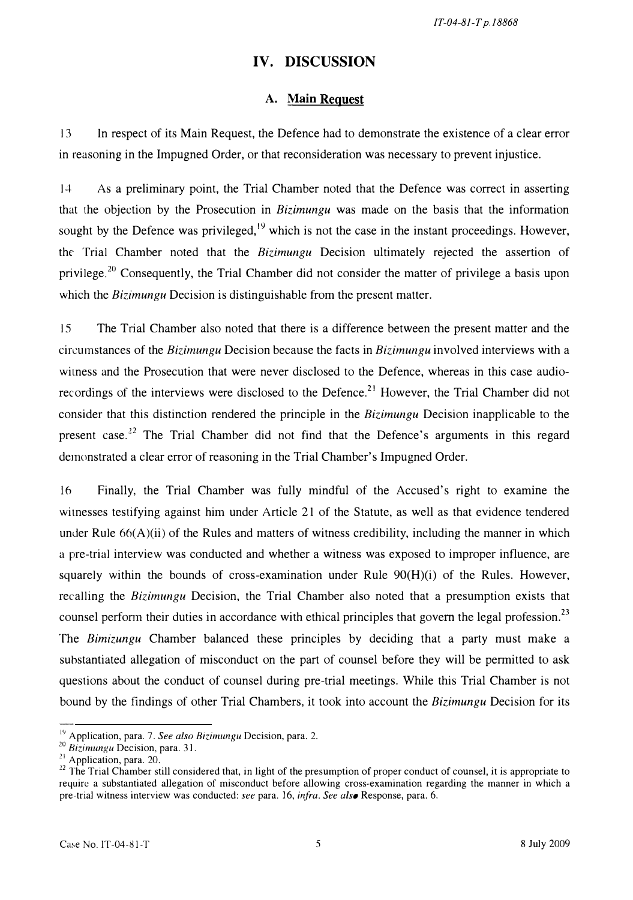IT-04-81-T p.18868

# IV. DISCUSSION

### A. Main Reguest

13 In respect of its Main Request, the Defence had to demonstrate the existence of a clear error in reasoning in the Impugned Order, or that reconsideration was necessary to prevent injustice.

14 As a preliminary point, the Trial Chamber noted that the Defence was correct in asserting that the objection by the Prosecution in Bizimungu was made on the basis that the information sought by the Defence was privileged, $19$  which is not the case in the instant proceedings. However, the Trial Chamber noted that the Bizimungu Decision ultimately rejected the assertion of privilege.<sup>20</sup> Consequently, the Trial Chamber did not consider the matter of privilege a basis upon which the Bizimungu Decision is distinguishable from the present matter.

15 The Trial Chamber also noted that there is a difference between the present matter and the circumstances of the Bizimungu Decision because the facts in Bizimungu involved interviews with a witness and the Prosecution that were never disclosed to the Defence, whereas in this case audiorecordings of the interviews were disclosed to the Defence.<sup>21</sup> However, the Trial Chamber did not consider that this distinction rendered the principle in the Bizimungu Decision inapplicable to the present case.<sup>22</sup> The Trial Chamber did not find that the Defence's arguments in this regard demonstrated a clear error of reasoning in the Trial Chamber's Impugned Order.

16 Finally, the Trial Chamber was fully mindful of the Accused's right to examme the witnesses testifying against him under Article 21 of the Statute, as well as that evidence tendered under Rule  $66(A)(ii)$  of the Rules and matters of witness credibility, including the manner in which a pre-trial interview was conducted and whether a witness was exposed to improper influence, are squarely within the bounds of cross-examination under Rule  $90(H)(i)$  of the Rules. However, recalling the Bizimungu Decision, the Trial Chamber also noted that a presumption exists that counsel perform their duties in accordance with ethical principles that govern the legal profession.<sup>23</sup> The Bimizungu Chamber balanced these principles by deciding that a party must make a suhstantiated allegation of misconduct on the part of counsel before they will be permitted to ask questions about the conduct of counsel during pre-trial meetings. While this Trial Chamber is not bound by the findings of other Trial Chambers, it took into account the Bizimungu Decision for its

 $19$  Application, para. 7. See also Bizimungu Decision, para. 2.

<sup>&</sup>lt;sup>20</sup> Bizimungu Decision, para. 31.

<sup>&</sup>lt;sup>21</sup> Application, para. 20.

 $12$  The Trial Chamber still considered that, in light of the presumption of proper conduct of counsel, it is appropriate to require a substantiated allegation of misconduct before allowing cross-examination regarding the manner in which a pre-trial witness interview was conducted: see para. 16, infra. See also Response, para. 6.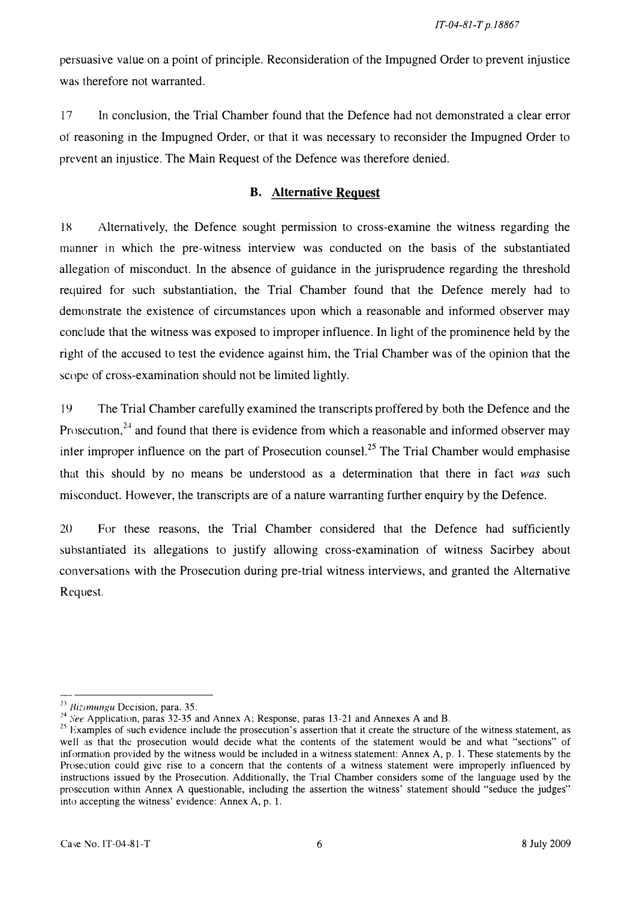persuasive value on a point of principle. Reconsideration of the Impugned Order to prevent injustice was therefore not warranted.

17 In conclusion, the Trial Chamber found that the Defence had not demonstrated a clear error of reasoning in the Impugned Order, or that it was necessary to reconsider the Impugned Order to prevent an injustice. The Main Request of the Defence was therefore denied.

### B. Alternative Request

18 Alternatively, the Defence sought permission to cross-examine the witness regarding the manner in which the pre-witness interview was conducted on the basis of the substantiated allegation of misconduct. In the absence of guidance in the jurisprudence regarding the threshold required for such substantiation, the Trial Chamber found that the Defence merely had to demonstrate the existence of circumstances upon which a reasonable and informed observer may conclude that the witness was exposed to improper influence. In light of the prominence held by the right of the accused to test the evidence against him, the Trial Chamber was of the opinion that the scope of cross-examination should not be limited lightly.

19 The Trial Chamber carefully examined the transcripts proffered by both the Defence and the Prosecution.<sup>24</sup> and found that there is evidence from which a reasonable and informed observer may inter improper influence on the part of Prosecution counsel.<sup>25</sup> The Trial Chamber would emphasise that this should by no means be understood as a determination that there in fact was such misconduct. However, the transcripts are of a nature warranting further enquiry by the Defence.

20 For these reasons, the Trial Chamber considered that the Defence had sufficiently substantiated its allegations to justify allowing cross-examination of witness Sacirbey about conversations with the Prosecution during pre-trial witness interviews, and granted the Alternative Request.

 $^{23}$  Bizimungu Decision, para. 35.

<sup>&</sup>lt;sup>24</sup> See Application, paras 32-35 and Annex A; Response, paras 13-21 and Annexes A and B.

<sup>&</sup>lt;sup>25</sup> Examples of such evidence include the prosecution's assertion that it create the structure of the witness statement, as well as that the prosecution would decide what the contents of the statement would be and what "sections" of information provided by the witness would be included in a witness statement: Annex A, p. 1. These statements by the Prosecution could give rise to a concern that the contents of a witness statement were improperly influenced by instructions issued by the Prosecution. Additionally, the Trial Chamber considers some of the language used by the prosecution within Annex A questionable, including the assertion the witness' statement should "seduce the judges" into accepting the witness' evidence: Annex A, p. l.